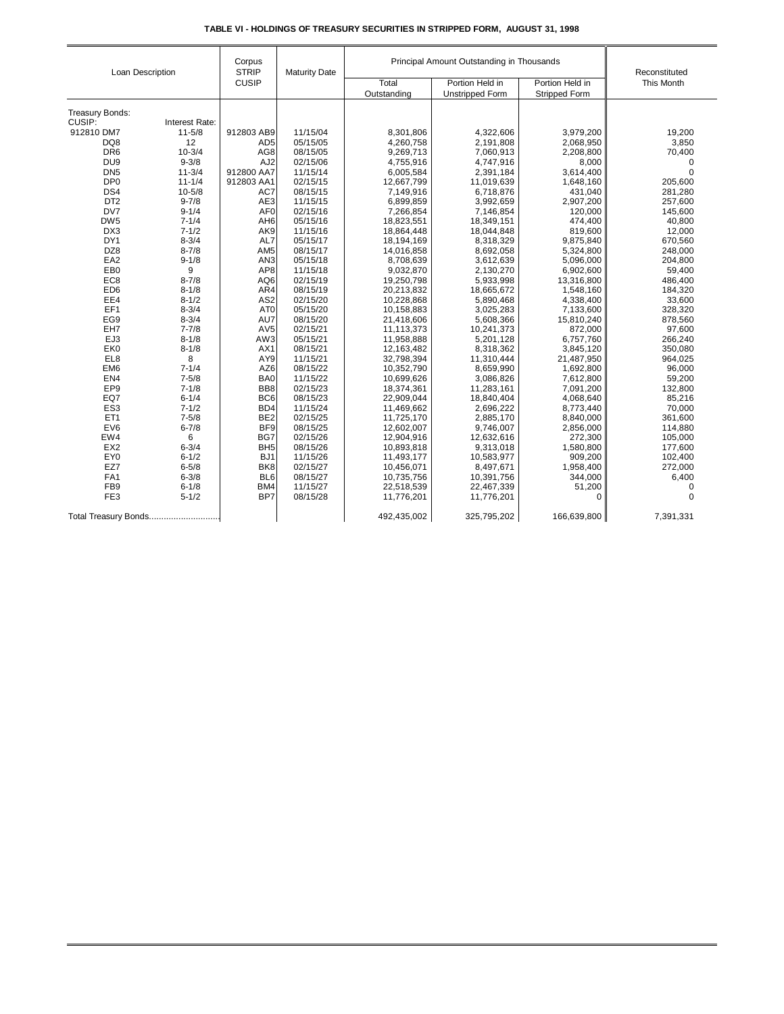| TABLE VI - HOLDINGS OF TREASURY SECURITIES IN STRIPPED FORM.  AUGUST 31. 1998 |  |  |  |
|-------------------------------------------------------------------------------|--|--|--|
|                                                                               |  |  |  |

| Loan Description                                                  |                | Corpus<br><b>STRIP</b> | <b>Maturity Date</b> | Principal Amount Outstanding in Thousands | Reconstituted          |                      |             |
|-------------------------------------------------------------------|----------------|------------------------|----------------------|-------------------------------------------|------------------------|----------------------|-------------|
|                                                                   |                | <b>CUSIP</b>           |                      | Total                                     | Portion Held in        | Portion Held in      | This Month  |
|                                                                   |                |                        |                      | Outstanding                               | <b>Unstripped Form</b> | <b>Stripped Form</b> |             |
|                                                                   |                |                        |                      |                                           |                        |                      |             |
| Treasury Bonds:                                                   |                |                        |                      |                                           |                        |                      |             |
| CUSIP:                                                            | Interest Rate: |                        |                      |                                           |                        |                      |             |
| 912810 DM7                                                        | $11 - 5/8$     | 912803 AB9             | 11/15/04             | 8,301,806                                 | 4,322,606              | 3,979,200            | 19,200      |
| DQ8                                                               | 12             | AD <sub>5</sub>        | 05/15/05             | 4,260,758                                 | 2,191,808              | 2,068,950            | 3,850       |
| DR <sub>6</sub>                                                   | $10 - 3/4$     | AG8                    | 08/15/05             | 9,269,713                                 | 7,060,913              | 2,208,800            | 70,400      |
| DU <sub>9</sub>                                                   | $9 - 3/8$      | AJ <sub>2</sub>        | 02/15/06             | 4,755,916                                 | 4,747,916              | 8,000                | 0           |
| DN <sub>5</sub>                                                   | $11 - 3/4$     | 912800 AA7             | 11/15/14             | 6,005,584                                 | 2,391,184              | 3,614,400            | $\mathbf 0$ |
| DP <sub>0</sub>                                                   | $11 - 1/4$     | 912803 AA1             | 02/15/15             | 12,667,799                                | 11,019,639             | 1,648,160            | 205,600     |
| DS4                                                               | $10 - 5/8$     | AC7                    | 08/15/15             | 7,149,916                                 | 6,718,876              | 431,040              | 281,280     |
| DT <sub>2</sub>                                                   | $9 - 7/8$      | AE3                    | 11/15/15             | 6,899,859                                 | 3,992,659              | 2,907,200            | 257,600     |
| DV7                                                               | $9 - 1/4$      | AF <sub>0</sub>        | 02/15/16             | 7,266,854                                 | 7,146,854              | 120,000              | 145,600     |
| DW <sub>5</sub>                                                   | $7 - 1/4$      | AH <sub>6</sub>        | 05/15/16             | 18,823,551                                | 18,349,151             | 474,400              | 40,800      |
| DX3                                                               | $7 - 1/2$      | AK9                    | 11/15/16             | 18,864,448                                | 18,044,848             | 819,600              | 12,000      |
| DY1                                                               | $8 - 3/4$      | AL7                    | 05/15/17             | 18,194,169                                | 8,318,329              | 9,875,840            | 670,560     |
| DZ8                                                               | $8 - 7/8$      | AM <sub>5</sub>        | 08/15/17             | 14,016,858                                | 8,692,058              | 5,324,800            | 248,000     |
| EA <sub>2</sub>                                                   | $9 - 1/8$      | AN <sub>3</sub>        | 05/15/18             | 8,708,639                                 | 3,612,639              | 5,096,000            | 204,800     |
| EB <sub>0</sub>                                                   | 9              | AP <sub>8</sub>        | 11/15/18             | 9,032,870                                 | 2,130,270              | 6,902,600            | 59,400      |
| EC <sub>8</sub>                                                   | $8 - 7/8$      | AQ6                    | 02/15/19             | 19,250,798                                | 5,933,998              | 13,316,800           | 486,400     |
| ED <sub>6</sub>                                                   | $8 - 1/8$      | AR4                    | 08/15/19             | 20,213,832                                | 18,665,672             | 1,548,160            | 184,320     |
| EE4                                                               | $8 - 1/2$      | AS <sub>2</sub>        | 02/15/20             | 10,228,868                                | 5,890,468              | 4,338,400            | 33,600      |
| EF1                                                               | $8 - 3/4$      | AT <sub>0</sub>        | 05/15/20             | 10,158,883                                | 3,025,283              | 7,133,600            | 328,320     |
| EG9                                                               | $8 - 3/4$      | AU7                    | 08/15/20             | 21,418,606                                | 5,608,366              | 15,810,240           | 878,560     |
| EH7                                                               | $7 - 7/8$      | AV <sub>5</sub>        | 02/15/21             | 11,113,373                                | 10,241,373             | 872,000              | 97,600      |
| EJ3                                                               | $8 - 1/8$      | AW3                    | 05/15/21             | 11,958,888                                | 5,201,128              | 6,757,760            | 266,240     |
| EK0                                                               | $8 - 1/8$      | AX1                    | 08/15/21             | 12,163,482                                | 8,318,362              | 3,845,120            | 350,080     |
| EL8                                                               | 8              | AY9                    | 11/15/21             | 32,798,394                                | 11,310,444             | 21,487,950           | 964,025     |
| EM <sub>6</sub>                                                   | $7 - 1/4$      | AZ6                    | 08/15/22             | 10,352,790                                | 8,659,990              | 1,692,800            | 96,000      |
| EN4                                                               | $7 - 5/8$      | BA0                    | 11/15/22             | 10,699,626                                | 3,086,826              | 7,612,800            | 59,200      |
| EP <sub>9</sub>                                                   | $7 - 1/8$      | BB8                    | 02/15/23             | 18,374,361                                | 11,283,161             | 7,091,200            | 132,800     |
| EQ7                                                               | $6 - 1/4$      | BC <sub>6</sub>        | 08/15/23             | 22,909,044                                | 18,840,404             | 4,068,640            | 85,216      |
| ES <sub>3</sub>                                                   | $7 - 1/2$      | B <sub>D</sub> 4       | 11/15/24             | 11,469,662                                | 2,696,222              | 8,773,440            | 70,000      |
| ET <sub>1</sub>                                                   | $7 - 5/8$      | BE <sub>2</sub>        | 02/15/25             | 11,725,170                                | 2,885,170              | 8,840,000            | 361,600     |
| EV6                                                               | $6 - 7/8$      | BF9                    | 08/15/25             | 12,602,007                                | 9,746,007              | 2,856,000            | 114,880     |
| EW4                                                               | 6              | BG7                    | 02/15/26             | 12,904,916                                | 12,632,616             | 272,300              | 105,000     |
| EX <sub>2</sub>                                                   | $6 - 3/4$      | BH <sub>5</sub>        | 08/15/26             | 10,893,818                                | 9,313,018              | 1,580,800            | 177,600     |
| EY <sub>0</sub>                                                   | $6 - 1/2$      | BJ <sub>1</sub>        | 11/15/26             | 11,493,177                                | 10,583,977             | 909,200              | 102,400     |
| EZ7                                                               | $6 - 5/8$      | BK <sub>8</sub>        | 02/15/27             | 10,456,071                                | 8,497,671              | 1,958,400            | 272,000     |
| FA1                                                               | $6 - 3/8$      | BL <sub>6</sub>        | 08/15/27             | 10,735,756                                | 10,391,756             | 344,000              | 6,400       |
| FB <sub>9</sub>                                                   | $6 - 1/8$      | BM4                    | 11/15/27             | 22,518,539                                | 22,467,339             | 51,200               | $\mathbf 0$ |
| FE3                                                               | $5 - 1/2$      | BP7                    | 08/15/28             | 11,776,201                                | 11,776,201             | 0                    | $\Omega$    |
| 325,795,202<br>Total Treasury Bonds<br>492,435,002<br>166,639,800 |                |                        |                      |                                           | 7,391,331              |                      |             |